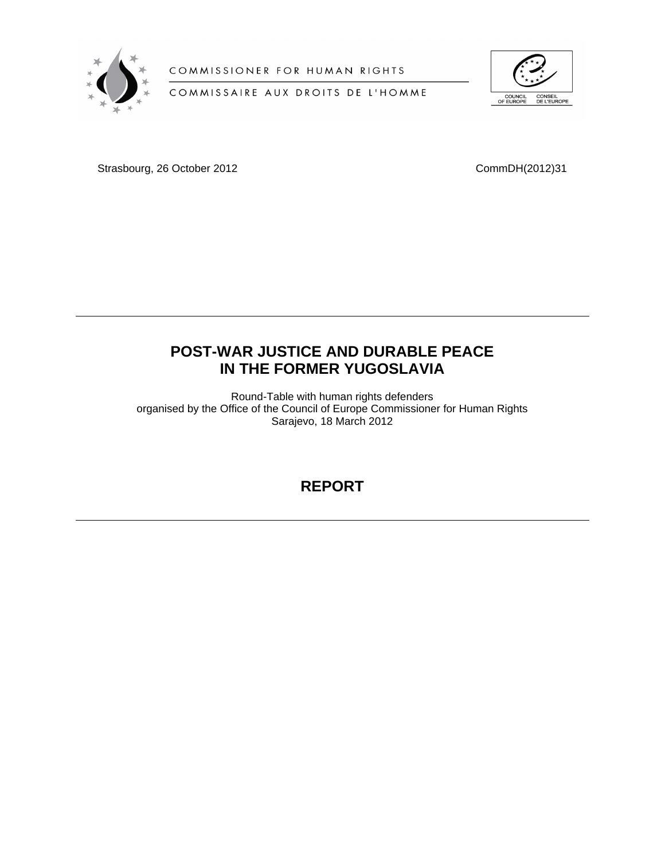

COMMISSIONER FOR HUMAN RIGHTS

COMMISSAIRE AUX DROITS DE L'HOMME



Strasbourg, 26 October 2012 CommDH(2012)31

# **POST-WAR JUSTICE AND DURABLE PEACE IN THE FORMER YUGOSLAVIA**

Round-Table with human rights defenders organised by the Office of the Council of Europe Commissioner for Human Rights Sarajevo, 18 March 2012

# **REPORT**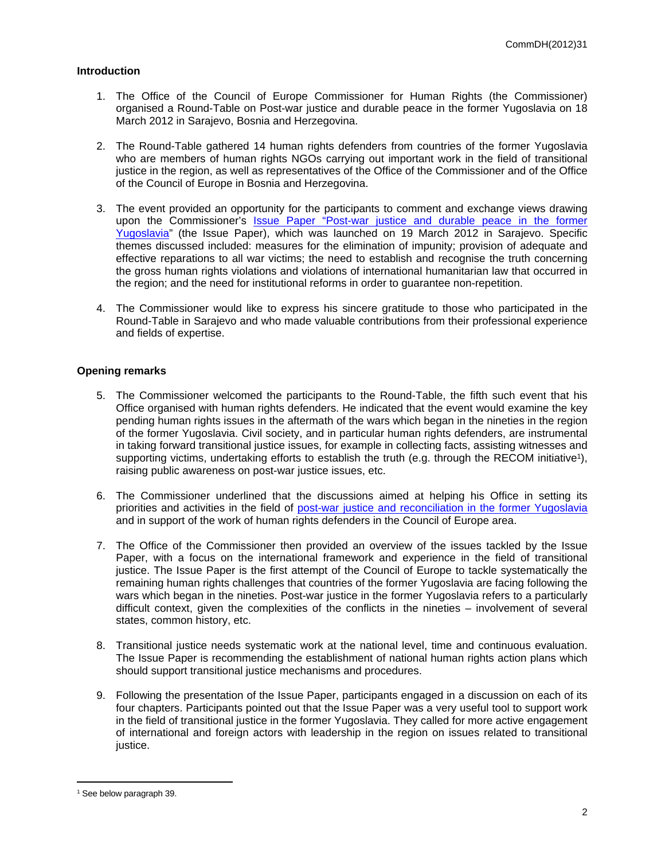## **Introduction**

- 1. The Office of the Council of Europe Commissioner for Human Rights (the Commissioner) organised a Round-Table on Post-war justice and durable peace in the former Yugoslavia on 18 March 2012 in Sarajevo, Bosnia and Herzegovina.
- 2. The Round-Table gathered 14 human rights defenders from countries of the former Yugoslavia who are members of human rights NGOs carrying out important work in the field of transitional justice in the region, as well as representatives of the Office of the Commissioner and of the Office of the Council of Europe in Bosnia and Herzegovina.
- 3. The event provided an opportunity for the participants to comment and exchange views drawing upon the Commissioner's [Issue Paper "Post-war justice and durable peace in the former](http://www.coe.int/t/commissioner/source/prems/Prems14712_GBR_1700_PostwarJustice.pdf)  [Yugoslavia"](http://www.coe.int/t/commissioner/source/prems/Prems14712_GBR_1700_PostwarJustice.pdf) (the Issue Paper), which was launched on 19 March 2012 in Sarajevo. Specific themes discussed included: measures for the elimination of impunity; provision of adequate and effective reparations to all war victims; the need to establish and recognise the truth concerning the gross human rights violations and violations of international humanitarian law that occurred in the region; and the need for institutional reforms in order to guarantee non-repetition.
- 4. The Commissioner would like to express his sincere gratitude to those who participated in the Round-Table in Sarajevo and who made valuable contributions from their professional experience and fields of expertise.

# **Opening remarks**

- 5. The Commissioner welcomed the participants to the Round-Table, the fifth such event that his Office organised with human rights defenders. He indicated that the event would examine the key pending human rights issues in the aftermath of the wars which began in the nineties in the region of the former Yugoslavia. Civil society, and in particular human rights defenders, are instrumental in taking forward transitional justice issues, for example in collecting facts, assisting witnesses and supporting victims, undertaking efforts to establish the truth (e.g. through the RECOM initiative<sup>1</sup>), raising public awareness on post-war justice issues, etc.
- 6. The Commissioner underlined that the discussions aimed at helping his Office in setting its priorities and activities in the field of [post-war justice and reconciliation in the former Yugoslavia](http://www.coe.int/t/commissioner/activities/themes/Post-war/Default_en.asp) and in support of the work of human rights defenders in the Council of Europe area.
- 7. The Office of the Commissioner then provided an overview of the issues tackled by the Issue Paper, with a focus on the international framework and experience in the field of transitional justice. The Issue Paper is the first attempt of the Council of Europe to tackle systematically the remaining human rights challenges that countries of the former Yugoslavia are facing following the wars which began in the nineties. Post-war justice in the former Yugoslavia refers to a particularly difficult context, given the complexities of the conflicts in the nineties – involvement of several states, common history, etc.
- 8. Transitional justice needs systematic work at the national level, time and continuous evaluation. The Issue Paper is recommending the establishment of national human rights action plans which should support transitional justice mechanisms and procedures.
- 9. Following the presentation of the Issue Paper, participants engaged in a discussion on each of its four chapters. Participants pointed out that the Issue Paper was a very useful tool to support work in the field of transitional justice in the former Yugoslavia. They called for more active engagement of international and foreign actors with leadership in the region on issues related to transitional justice.

<sup>1</sup> See below paragraph 39.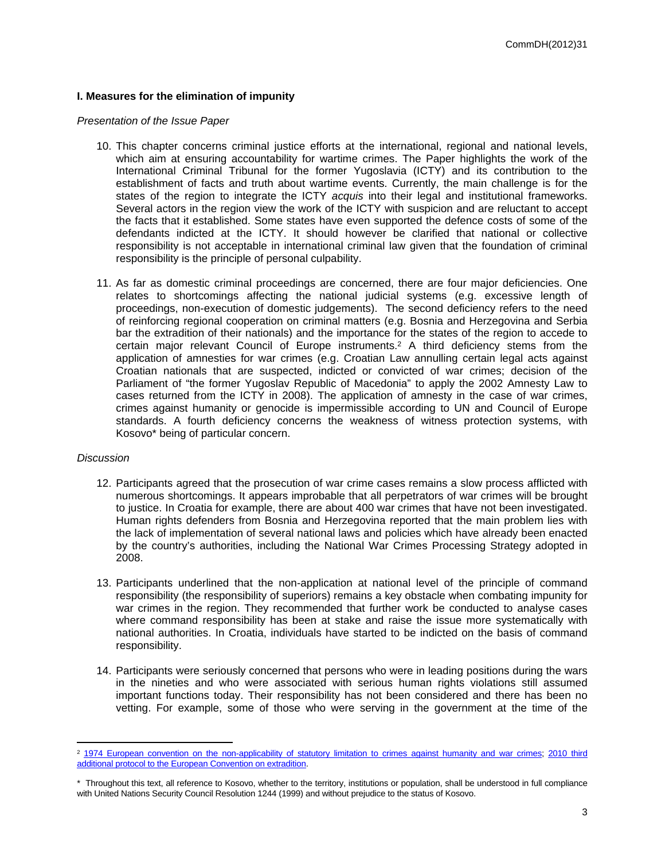# **I. Measures for the elimination of impunity**

#### *Presentation of the Issue Paper*

- 10. This chapter concerns criminal justice efforts at the international, regional and national levels, which aim at ensuring accountability for wartime crimes. The Paper highlights the work of the International Criminal Tribunal for the former Yugoslavia (ICTY) and its contribution to the establishment of facts and truth about wartime events. Currently, the main challenge is for the states of the region to integrate the ICTY *acquis* into their legal and institutional frameworks. Several actors in the region view the work of the ICTY with suspicion and are reluctant to accept the facts that it established. Some states have even supported the defence costs of some of the defendants indicted at the ICTY. It should however be clarified that national or collective responsibility is not acceptable in international criminal law given that the foundation of criminal responsibility is the principle of personal culpability.
- 11. As far as domestic criminal proceedings are concerned, there are four major deficiencies. One relates to shortcomings affecting the national judicial systems (e.g. excessive length of proceedings, non-execution of domestic judgements). The second deficiency refers to the need of reinforcing regional cooperation on criminal matters (e.g. Bosnia and Herzegovina and Serbia bar the extradition of their nationals) and the importance for the states of the region to accede to certain major relevant Council of Europe instruments.<sup>2</sup> A third deficiency stems from the application of amnesties for war crimes (e.g. Croatian Law annulling certain legal acts against Croatian nationals that are suspected, indicted or convicted of war crimes; decision of the Parliament of "the former Yugoslav Republic of Macedonia" to apply the 2002 Amnesty Law to cases returned from the ICTY in 2008). The application of amnesty in the case of war crimes, crimes against humanity or genocide is impermissible according to UN and Council of Europe standards. A fourth deficiency concerns the weakness of witness protection systems, with Kosovo\* being of particular concern.

#### *Discussion*

- 12. Participants agreed that the prosecution of war crime cases remains a slow process afflicted with numerous shortcomings. It appears improbable that all perpetrators of war crimes will be brought to justice. In Croatia for example, there are about 400 war crimes that have not been investigated. Human rights defenders from Bosnia and Herzegovina reported that the main problem lies with the lack of implementation of several national laws and policies which have already been enacted by the country's authorities, including the National War Crimes Processing Strategy adopted in 2008.
- 13. Participants underlined that the non-application at national level of the principle of command responsibility (the responsibility of superiors) remains a key obstacle when combating impunity for war crimes in the region. They recommended that further work be conducted to analyse cases where command responsibility has been at stake and raise the issue more systematically with national authorities. In Croatia, individuals have started to be indicted on the basis of command responsibility.
- 14. Participants were seriously concerned that persons who were in leading positions during the wars in the nineties and who were associated with serious human rights violations still assumed important functions today. Their responsibility has not been considered and there has been no vetting. For example, some of those who were serving in the government at the time of the

<sup>&</sup>lt;sup>2</sup> [1974 European convention on the non-applicability of statutory limitation to crimes against humanity and war crimes](http://conventions.coe.int/Treaty/en/Treaties/Html/082.htm); 2010 third [additional protocol to the European Convention on extradition.](http://conventions.coe.int/Treaty/en/Treaties/Html/209.htm)

<sup>\*</sup> Throughout this text, all reference to Kosovo, whether to the territory, institutions or population, shall be understood in full compliance with United Nations Security Council Resolution 1244 (1999) and without prejudice to the status of Kosovo.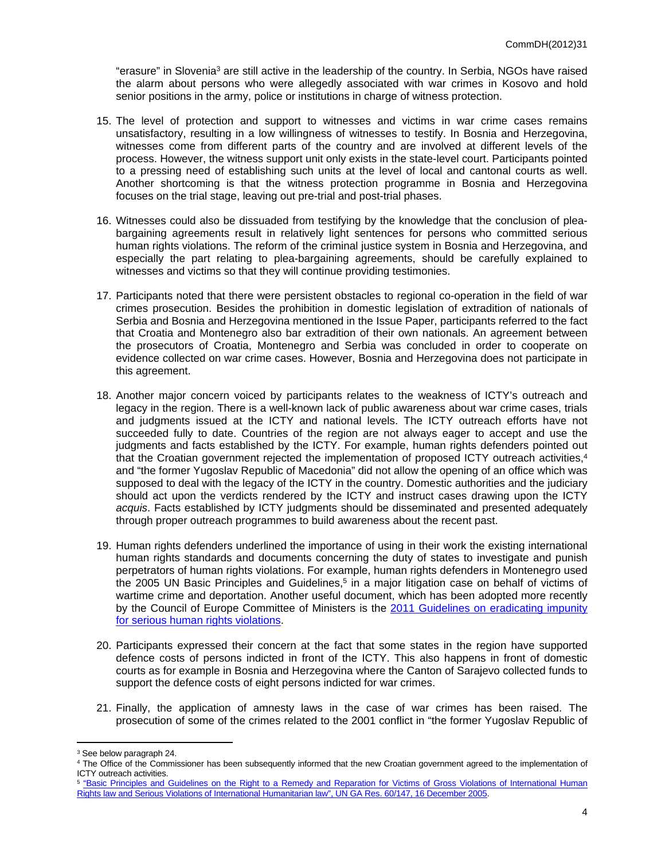"erasure" in Slovenia<sup>3</sup> are still active in the leadership of the country. In Serbia, NGOs have raised the alarm about persons who were allegedly associated with war crimes in Kosovo and hold senior positions in the army, police or institutions in charge of witness protection.

- 15. The level of protection and support to witnesses and victims in war crime cases remains unsatisfactory, resulting in a low willingness of witnesses to testify. In Bosnia and Herzegovina, witnesses come from different parts of the country and are involved at different levels of the process. However, the witness support unit only exists in the state-level court. Participants pointed to a pressing need of establishing such units at the level of local and cantonal courts as well. Another shortcoming is that the witness protection programme in Bosnia and Herzegovina focuses on the trial stage, leaving out pre-trial and post-trial phases.
- 16. Witnesses could also be dissuaded from testifying by the knowledge that the conclusion of pleabargaining agreements result in relatively light sentences for persons who committed serious human rights violations. The reform of the criminal justice system in Bosnia and Herzegovina, and especially the part relating to plea-bargaining agreements, should be carefully explained to witnesses and victims so that they will continue providing testimonies.
- 17. Participants noted that there were persistent obstacles to regional co-operation in the field of war crimes prosecution. Besides the prohibition in domestic legislation of extradition of nationals of Serbia and Bosnia and Herzegovina mentioned in the Issue Paper, participants referred to the fact that Croatia and Montenegro also bar extradition of their own nationals. An agreement between the prosecutors of Croatia, Montenegro and Serbia was concluded in order to cooperate on evidence collected on war crime cases. However, Bosnia and Herzegovina does not participate in this agreement.
- 18. Another major concern voiced by participants relates to the weakness of ICTY's outreach and legacy in the region. There is a well-known lack of public awareness about war crime cases, trials and judgments issued at the ICTY and national levels. The ICTY outreach efforts have not succeeded fully to date. Countries of the region are not always eager to accept and use the judgments and facts established by the ICTY. For example, human rights defenders pointed out that the Croatian government rejected the implementation of proposed ICTY outreach activities,<sup>4</sup> and "the former Yugoslav Republic of Macedonia" did not allow the opening of an office which was supposed to deal with the legacy of the ICTY in the country. Domestic authorities and the judiciary should act upon the verdicts rendered by the ICTY and instruct cases drawing upon the ICTY *acquis*. Facts established by ICTY judgments should be disseminated and presented adequately through proper outreach programmes to build awareness about the recent past.
- 19. Human rights defenders underlined the importance of using in their work the existing international human rights standards and documents concerning the duty of states to investigate and punish perpetrators of human rights violations. For example, human rights defenders in Montenegro used the 2005 UN Basic Principles and Guidelines,<sup>5</sup> in a major litigation case on behalf of victims of wartime crime and deportation. Another useful document, which has been adopted more recently by the Council of Europe Committee of Ministers is the [2011 Guidelines on eradicating impunity](http://www.coe.int/t/dgi/publications/others/h-inf_2011_7en.pdf)  [for serious human rights violations.](http://www.coe.int/t/dgi/publications/others/h-inf_2011_7en.pdf)
- 20. Participants expressed their concern at the fact that some states in the region have supported defence costs of persons indicted in front of the ICTY. This also happens in front of domestic courts as for example in Bosnia and Herzegovina where the Canton of Sarajevo collected funds to support the defence costs of eight persons indicted for war crimes.
- 21. Finally, the application of amnesty laws in the case of war crimes has been raised. The prosecution of some of the crimes related to the 2001 conflict in "the former Yugoslav Republic of

<sup>3</sup> See below paragraph 24.

<sup>4</sup> The Office of the Commissioner has been subsequently informed that the new Croatian government agreed to the implementation of ICTY outreach activities.

<sup>&</sup>lt;sup>5</sup> "Basic Principles and Guidelines on the Right to a Remedy and Reparation for Victims of Gross Violations of International Human [Rights law and Serious Violations of International Humanitarian law", UN GA Res. 60/147, 16 December 2005.](http://www2.ohchr.org/english/law/remedy.htm)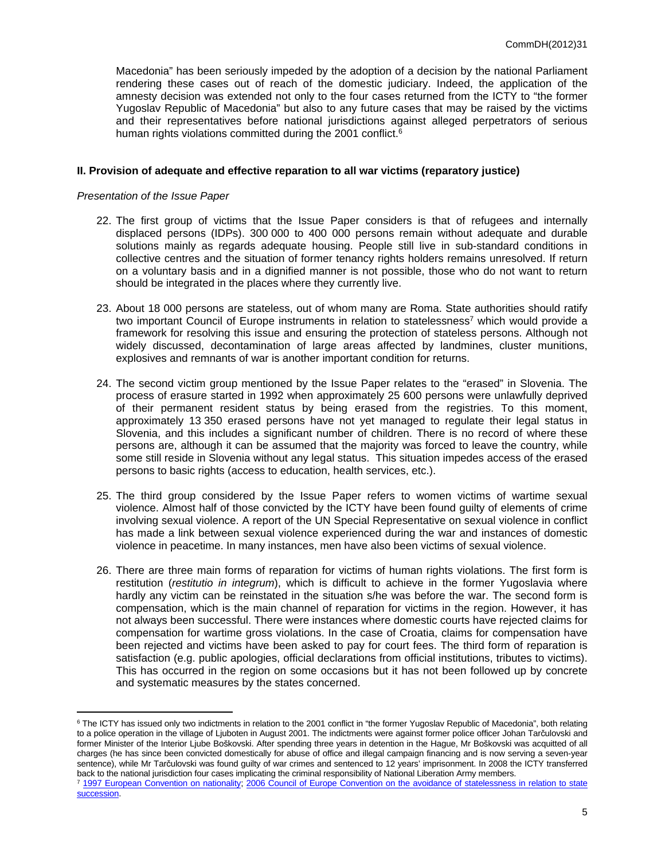Macedonia" has been seriously impeded by the adoption of a decision by the national Parliament rendering these cases out of reach of the domestic judiciary. Indeed, the application of the amnesty decision was extended not only to the four cases returned from the ICTY to "the former Yugoslav Republic of Macedonia" but also to any future cases that may be raised by the victims and their representatives before national jurisdictions against alleged perpetrators of serious human rights violations committed during the 2001 conflict.<sup>6</sup>

#### **II. Provision of adequate and effective reparation to all war victims (reparatory justice)**

#### *Presentation of the Issue Paper*

- 22. The first group of victims that the Issue Paper considers is that of refugees and internally displaced persons (IDPs). 300 000 to 400 000 persons remain without adequate and durable solutions mainly as regards adequate housing. People still live in sub-standard conditions in collective centres and the situation of former tenancy rights holders remains unresolved. If return on a voluntary basis and in a dignified manner is not possible, those who do not want to return should be integrated in the places where they currently live.
- 23. About 18 000 persons are stateless, out of whom many are Roma. State authorities should ratify two important Council of Europe instruments in relation to statelessness<sup>7</sup> which would provide a framework for resolving this issue and ensuring the protection of stateless persons. Although not widely discussed, decontamination of large areas affected by landmines, cluster munitions, explosives and remnants of war is another important condition for returns.
- 24. The second victim group mentioned by the Issue Paper relates to the "erased" in Slovenia. The process of erasure started in 1992 when approximately 25 600 persons were unlawfully deprived of their permanent resident status by being erased from the registries. To this moment, approximately 13 350 erased persons have not yet managed to regulate their legal status in Slovenia, and this includes a significant number of children. There is no record of where these persons are, although it can be assumed that the majority was forced to leave the country, while some still reside in Slovenia without any legal status. This situation impedes access of the erased persons to basic rights (access to education, health services, etc.).
- 25. The third group considered by the Issue Paper refers to women victims of wartime sexual violence. Almost half of those convicted by the ICTY have been found guilty of elements of crime involving sexual violence. A report of the UN Special Representative on sexual violence in conflict has made a link between sexual violence experienced during the war and instances of domestic violence in peacetime. In many instances, men have also been victims of sexual violence.
- 26. There are three main forms of reparation for victims of human rights violations. The first form is restitution (*restitutio in integrum*), which is difficult to achieve in the former Yugoslavia where hardly any victim can be reinstated in the situation s/he was before the war. The second form is compensation, which is the main channel of reparation for victims in the region. However, it has not always been successful. There were instances where domestic courts have rejected claims for compensation for wartime gross violations. In the case of Croatia, claims for compensation have been rejected and victims have been asked to pay for court fees. The third form of reparation is satisfaction (e.g. public apologies, official declarations from official institutions, tributes to victims). This has occurred in the region on some occasions but it has not been followed up by concrete and systematic measures by the states concerned.

<sup>&</sup>lt;sup>6</sup> The ICTY has issued only two indictments in relation to the 2001 conflict in "the former Yugoslav Republic of Macedonia", both relating to a police operation in the village of Ljuboten in August 2001. The indictments were against former police officer Johan Tarčulovski and former Minister of the Interior Ljube Boškovski. After spending three years in detention in the Hague, Mr Boškovski was acquitted of all charges (he has since been convicted domestically for abuse of office and illegal campaign financing and is now serving a seven-year sentence), while Mr Tarčulovski was found guilty of war crimes and sentenced to 12 years' imprisonment. In 2008 the ICTY transferred back to the national jurisdiction four cases implicating the criminal responsibility of National Liberation Army members.

<sup>&</sup>lt;sup>7</sup> [1997 European Convention on nationality;](http://conventions.coe.int/Treaty/en/Treaties/Html/166.htm) 2006 Council of Europe Convention on the avoidance of statelessness in relation to state [succession](http://conventions.coe.int/Treaty/EN/Treaties/Html/200.htm).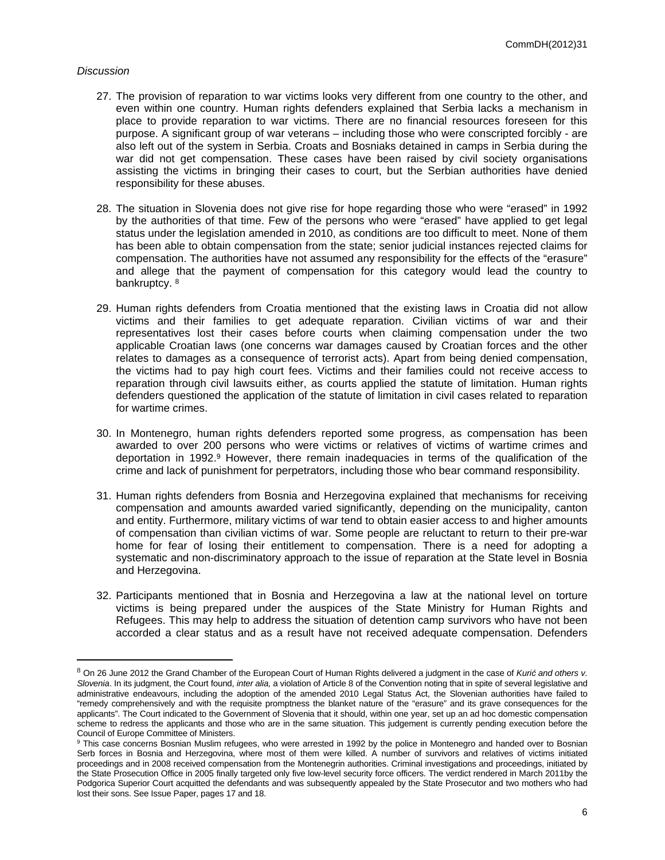## *Discussion*

- 27. The provision of reparation to war victims looks very different from one country to the other, and even within one country. Human rights defenders explained that Serbia lacks a mechanism in place to provide reparation to war victims. There are no financial resources foreseen for this purpose. A significant group of war veterans – including those who were conscripted forcibly - are also left out of the system in Serbia. Croats and Bosniaks detained in camps in Serbia during the war did not get compensation. These cases have been raised by civil society organisations assisting the victims in bringing their cases to court, but the Serbian authorities have denied responsibility for these abuses.
- 28. The situation in Slovenia does not give rise for hope regarding those who were "erased" in 1992 by the authorities of that time. Few of the persons who were "erased" have applied to get legal status under the legislation amended in 2010, as conditions are too difficult to meet. None of them has been able to obtain compensation from the state; senior judicial instances rejected claims for compensation. The authorities have not assumed any responsibility for the effects of the "erasure" and allege that the payment of compensation for this category would lead the country to bankruptcy. <sup>8</sup>
- 29. Human rights defenders from Croatia mentioned that the existing laws in Croatia did not allow victims and their families to get adequate reparation. Civilian victims of war and their representatives lost their cases before courts when claiming compensation under the two applicable Croatian laws (one concerns war damages caused by Croatian forces and the other relates to damages as a consequence of terrorist acts). Apart from being denied compensation, the victims had to pay high court fees. Victims and their families could not receive access to reparation through civil lawsuits either, as courts applied the statute of limitation. Human rights defenders questioned the application of the statute of limitation in civil cases related to reparation for wartime crimes.
- 30. In Montenegro, human rights defenders reported some progress, as compensation has been awarded to over 200 persons who were victims or relatives of victims of wartime crimes and deportation in 1992.<sup>9</sup> However, there remain inadequacies in terms of the qualification of the crime and lack of punishment for perpetrators, including those who bear command responsibility.
- 31. Human rights defenders from Bosnia and Herzegovina explained that mechanisms for receiving compensation and amounts awarded varied significantly, depending on the municipality, canton and entity. Furthermore, military victims of war tend to obtain easier access to and higher amounts of compensation than civilian victims of war. Some people are reluctant to return to their pre-war home for fear of losing their entitlement to compensation. There is a need for adopting a systematic and non-discriminatory approach to the issue of reparation at the State level in Bosnia and Herzegovina.
- 32. Participants mentioned that in Bosnia and Herzegovina a law at the national level on torture victims is being prepared under the auspices of the State Ministry for Human Rights and Refugees. This may help to address the situation of detention camp survivors who have not been accorded a clear status and as a result have not received adequate compensation. Defenders

<sup>8</sup> On 26 June 2012 the Grand Chamber of the European Court of Human Rights delivered a judgment in the case of *Kurić and others v. Slovenia*. In its judgment, the Court found, *inter alia,* a violation of Article 8 of the Convention noting that in spite of several legislative and administrative endeavours, including the adoption of the amended 2010 Legal Status Act, the Slovenian authorities have failed to "remedy comprehensively and with the requisite promptness the blanket nature of the "erasure" and its grave consequences for the applicants". The Court indicated to the Government of Slovenia that it should, within one year, set up an ad hoc domestic compensation scheme to redress the applicants and those who are in the same situation. This judgement is currently pending execution before the Council of Europe Committee of Ministers.

<sup>&</sup>lt;sup>9</sup> This case concerns Bosnian Muslim refugees, who were arrested in 1992 by the police in Montenegro and handed over to Bosnian Serb forces in Bosnia and Herzegovina, where most of them were killed. A number of survivors and relatives of victims initiated proceedings and in 2008 received compensation from the Montenegrin authorities. Criminal investigations and proceedings, initiated by the State Prosecution Office in 2005 finally targeted only five low-level security force officers. The verdict rendered in March 2011by the Podgorica Superior Court acquitted the defendants and was subsequently appealed by the State Prosecutor and two mothers who had lost their sons. See Issue Paper, pages 17 and 18.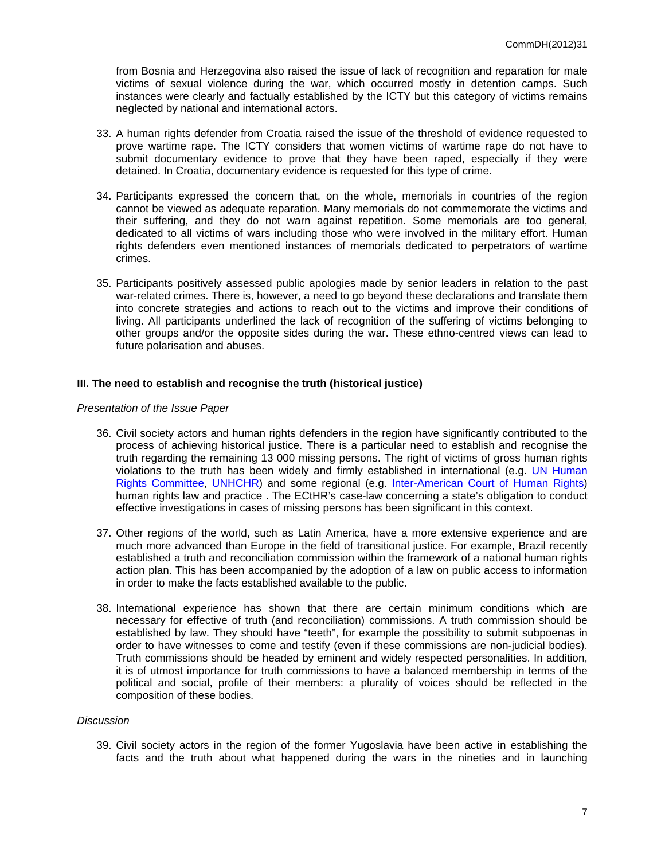from Bosnia and Herzegovina also raised the issue of lack of recognition and reparation for male victims of sexual violence during the war, which occurred mostly in detention camps. Such instances were clearly and factually established by the ICTY but this category of victims remains neglected by national and international actors.

- 33. A human rights defender from Croatia raised the issue of the threshold of evidence requested to prove wartime rape. The ICTY considers that women victims of wartime rape do not have to submit documentary evidence to prove that they have been raped, especially if they were detained. In Croatia, documentary evidence is requested for this type of crime.
- 34. Participants expressed the concern that, on the whole, memorials in countries of the region cannot be viewed as adequate reparation. Many memorials do not commemorate the victims and their suffering, and they do not warn against repetition. Some memorials are too general, dedicated to all victims of wars including those who were involved in the military effort. Human rights defenders even mentioned instances of memorials dedicated to perpetrators of wartime crimes.
- 35. Participants positively assessed public apologies made by senior leaders in relation to the past war-related crimes. There is, however, a need to go beyond these declarations and translate them into concrete strategies and actions to reach out to the victims and improve their conditions of living. All participants underlined the lack of recognition of the suffering of victims belonging to other groups and/or the opposite sides during the war. These ethno-centred views can lead to future polarisation and abuses.

## **III. The need to establish and recognise the truth (historical justice)**

#### *Presentation of the Issue Paper*

- 36. Civil society actors and human rights defenders in the region have significantly contributed to the process of achieving historical justice. There is a particular need to establish and recognise the truth regarding the remaining 13 000 missing persons. The right of victims of gross human rights violations to the truth has been widely and firmly established in international (e.g. UN Human [Rights Committee](http://www.bayefsky.com/pdf/133_uruguay107vws.pdf), [UNHCHR\)](http://www2.ohchr.org/english/issues/rule_of_law/right_truth.htm) and some regional (e.g. [Inter-American Court of Human Rights\)](http://www.corteidh.or.cr/docs/casos/articulos/seriec_04_ing.pdf) human rights law and practice . The ECtHR's case-law concerning a state's obligation to conduct effective investigations in cases of missing persons has been significant in this context.
- 37. Other regions of the world, such as Latin America, have a more extensive experience and are much more advanced than Europe in the field of transitional justice. For example, Brazil recently established a truth and reconciliation commission within the framework of a national human rights action plan. This has been accompanied by the adoption of a law on public access to information in order to make the facts established available to the public.
- 38. International experience has shown that there are certain minimum conditions which are necessary for effective of truth (and reconciliation) commissions. A truth commission should be established by law. They should have "teeth", for example the possibility to submit subpoenas in order to have witnesses to come and testify (even if these commissions are non-judicial bodies). Truth commissions should be headed by eminent and widely respected personalities. In addition, it is of utmost importance for truth commissions to have a balanced membership in terms of the political and social, profile of their members: a plurality of voices should be reflected in the composition of these bodies.

#### *Discussion*

39. Civil society actors in the region of the former Yugoslavia have been active in establishing the facts and the truth about what happened during the wars in the nineties and in launching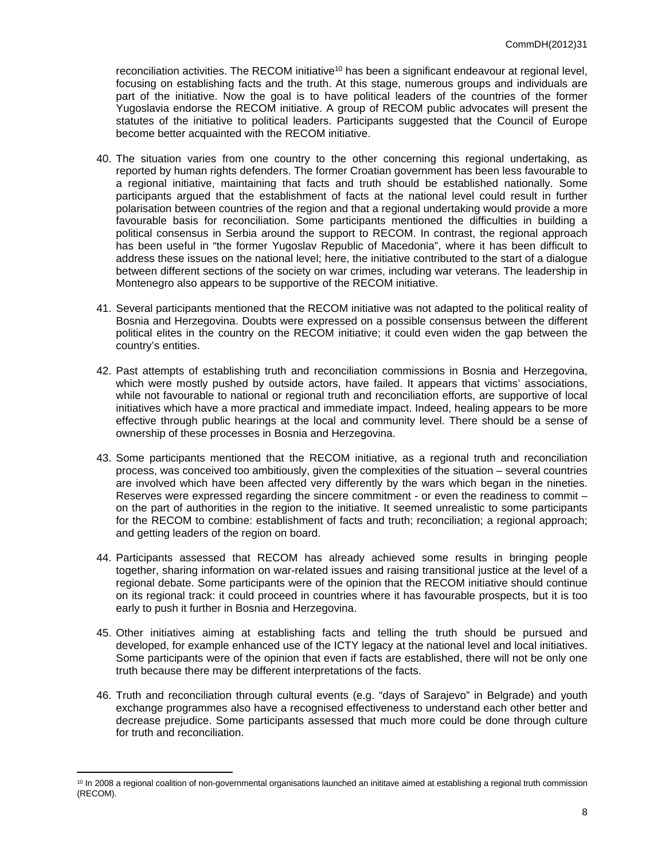reconciliation activities. The RECOM initiative<sup>10</sup> has been a significant endeavour at regional level, focusing on establishing facts and the truth. At this stage, numerous groups and individuals are part of the initiative. Now the goal is to have political leaders of the countries of the former Yugoslavia endorse the RECOM initiative. A group of RECOM public advocates will present the statutes of the initiative to political leaders. Participants suggested that the Council of Europe become better acquainted with the RECOM initiative.

- 40. The situation varies from one country to the other concerning this regional undertaking, as reported by human rights defenders. The former Croatian government has been less favourable to a regional initiative, maintaining that facts and truth should be established nationally. Some participants argued that the establishment of facts at the national level could result in further polarisation between countries of the region and that a regional undertaking would provide a more favourable basis for reconciliation. Some participants mentioned the difficulties in building a political consensus in Serbia around the support to RECOM. In contrast, the regional approach has been useful in "the former Yugoslav Republic of Macedonia", where it has been difficult to address these issues on the national level; here, the initiative contributed to the start of a dialogue between different sections of the society on war crimes, including war veterans. The leadership in Montenegro also appears to be supportive of the RECOM initiative.
- 41. Several participants mentioned that the RECOM initiative was not adapted to the political reality of Bosnia and Herzegovina. Doubts were expressed on a possible consensus between the different political elites in the country on the RECOM initiative; it could even widen the gap between the country's entities.
- 42. Past attempts of establishing truth and reconciliation commissions in Bosnia and Herzegovina, which were mostly pushed by outside actors, have failed. It appears that victims' associations, while not favourable to national or regional truth and reconciliation efforts, are supportive of local initiatives which have a more practical and immediate impact. Indeed, healing appears to be more effective through public hearings at the local and community level. There should be a sense of ownership of these processes in Bosnia and Herzegovina.
- 43. Some participants mentioned that the RECOM initiative, as a regional truth and reconciliation process, was conceived too ambitiously, given the complexities of the situation – several countries are involved which have been affected very differently by the wars which began in the nineties. Reserves were expressed regarding the sincere commitment - or even the readiness to commit – on the part of authorities in the region to the initiative. It seemed unrealistic to some participants for the RECOM to combine: establishment of facts and truth; reconciliation; a regional approach; and getting leaders of the region on board.
- 44. Participants assessed that RECOM has already achieved some results in bringing people together, sharing information on war-related issues and raising transitional justice at the level of a regional debate. Some participants were of the opinion that the RECOM initiative should continue on its regional track: it could proceed in countries where it has favourable prospects, but it is too early to push it further in Bosnia and Herzegovina.
- 45. Other initiatives aiming at establishing facts and telling the truth should be pursued and developed, for example enhanced use of the ICTY legacy at the national level and local initiatives. Some participants were of the opinion that even if facts are established, there will not be only one truth because there may be different interpretations of the facts.
- 46. Truth and reconciliation through cultural events (e.g. "days of Sarajevo" in Belgrade) and youth exchange programmes also have a recognised effectiveness to understand each other better and decrease prejudice. Some participants assessed that much more could be done through culture for truth and reconciliation.

<sup>&</sup>lt;sup>10</sup> In 2008 a regional coalition of non-governmental organisations launched an inititave aimed at establishing a regional truth commission (RECOM).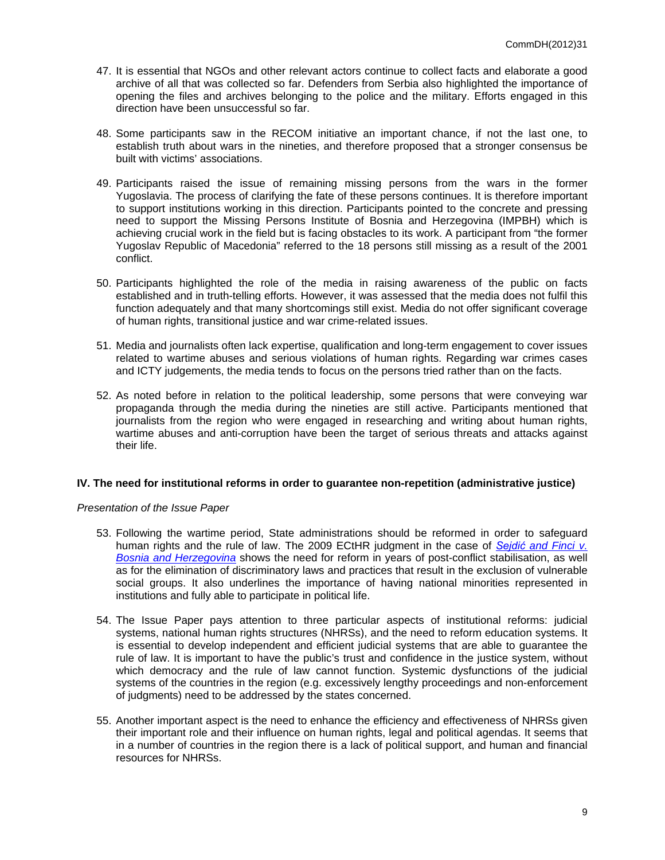- 47. It is essential that NGOs and other relevant actors continue to collect facts and elaborate a good archive of all that was collected so far. Defenders from Serbia also highlighted the importance of opening the files and archives belonging to the police and the military. Efforts engaged in this direction have been unsuccessful so far.
- 48. Some participants saw in the RECOM initiative an important chance, if not the last one, to establish truth about wars in the nineties, and therefore proposed that a stronger consensus be built with victims' associations.
- 49. Participants raised the issue of remaining missing persons from the wars in the former Yugoslavia. The process of clarifying the fate of these persons continues. It is therefore important to support institutions working in this direction. Participants pointed to the concrete and pressing need to support the Missing Persons Institute of Bosnia and Herzegovina (IMPBH) which is achieving crucial work in the field but is facing obstacles to its work. A participant from "the former Yugoslav Republic of Macedonia" referred to the 18 persons still missing as a result of the 2001 conflict.
- 50. Participants highlighted the role of the media in raising awareness of the public on facts established and in truth-telling efforts. However, it was assessed that the media does not fulfil this function adequately and that many shortcomings still exist. Media do not offer significant coverage of human rights, transitional justice and war crime-related issues.
- 51. Media and journalists often lack expertise, qualification and long-term engagement to cover issues related to wartime abuses and serious violations of human rights. Regarding war crimes cases and ICTY judgements, the media tends to focus on the persons tried rather than on the facts.
- 52. As noted before in relation to the political leadership, some persons that were conveying war propaganda through the media during the nineties are still active. Participants mentioned that journalists from the region who were engaged in researching and writing about human rights, wartime abuses and anti-corruption have been the target of serious threats and attacks against their life.

# **IV. The need for institutional reforms in order to guarantee non-repetition (administrative justice)**

## *Presentation of the Issue Paper*

- 53. Following the wartime period, State administrations should be reformed in order to safeguard human rights and the rule of law. The 2009 ECtHR judgment in the case of *Sejdić [and Finci v.](http://cmiskp.echr.coe.int/tkp197/view.asp?action=html&documentId=860268&portal=hbkm&source=externalbydocnumber&table=F69A27FD8FB86142BF01C1166DEA398649)  [Bosnia and Herzegovina](http://cmiskp.echr.coe.int/tkp197/view.asp?action=html&documentId=860268&portal=hbkm&source=externalbydocnumber&table=F69A27FD8FB86142BF01C1166DEA398649)* shows the need for reform in years of post-conflict stabilisation, as well as for the elimination of discriminatory laws and practices that result in the exclusion of vulnerable social groups. It also underlines the importance of having national minorities represented in institutions and fully able to participate in political life.
- 54. The Issue Paper pays attention to three particular aspects of institutional reforms: judicial systems, national human rights structures (NHRSs), and the need to reform education systems. It is essential to develop independent and efficient judicial systems that are able to guarantee the rule of law. It is important to have the public's trust and confidence in the justice system, without which democracy and the rule of law cannot function. Systemic dysfunctions of the judicial systems of the countries in the region (e.g. excessively lengthy proceedings and non-enforcement of judgments) need to be addressed by the states concerned.
- 55. Another important aspect is the need to enhance the efficiency and effectiveness of NHRSs given their important role and their influence on human rights, legal and political agendas. It seems that in a number of countries in the region there is a lack of political support, and human and financial resources for NHRSs.